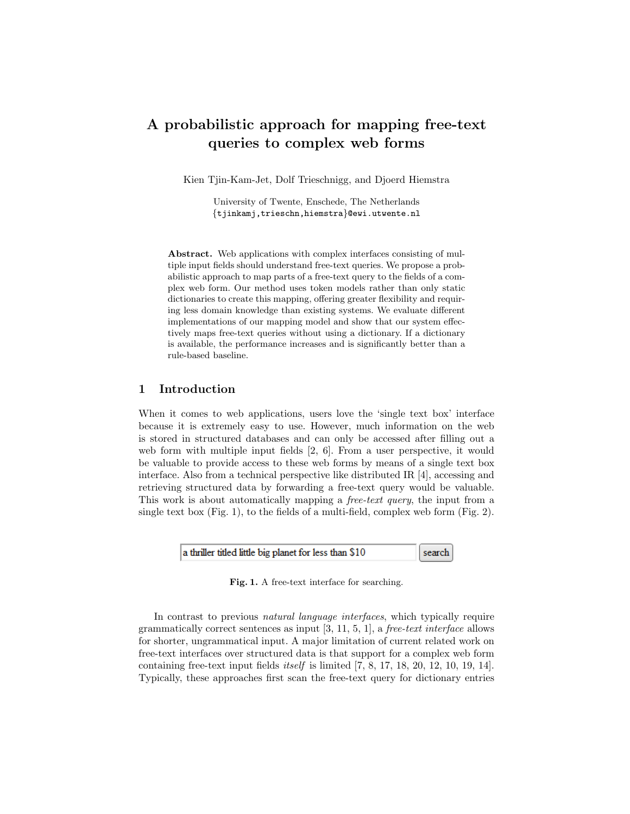# A probabilistic approach for mapping free-text queries to complex web forms

Kien Tjin-Kam-Jet, Dolf Trieschnigg, and Djoerd Hiemstra

University of Twente, Enschede, The Netherlands {tjinkamj,trieschn,hiemstra}@ewi.utwente.nl

Abstract. Web applications with complex interfaces consisting of multiple input fields should understand free-text queries. We propose a probabilistic approach to map parts of a free-text query to the fields of a complex web form. Our method uses token models rather than only static dictionaries to create this mapping, offering greater flexibility and requiring less domain knowledge than existing systems. We evaluate different implementations of our mapping model and show that our system effectively maps free-text queries without using a dictionary. If a dictionary is available, the performance increases and is significantly better than a rule-based baseline.

## 1 Introduction

When it comes to web applications, users love the 'single text box' interface because it is extremely easy to use. However, much information on the web is stored in structured databases and can only be accessed after filling out a web form with multiple input fields [2, 6]. From a user perspective, it would be valuable to provide access to these web forms by means of a single text box interface. Also from a technical perspective like distributed IR [4], accessing and retrieving structured data by forwarding a free-text query would be valuable. This work is about automatically mapping a free-text query, the input from a single text box  $(Fig. 1)$ , to the fields of a multi-field, complex web form  $(Fig. 2)$ .



Fig. 1. A free-text interface for searching.

In contrast to previous natural language interfaces, which typically require grammatically correct sentences as input  $[3, 11, 5, 1]$ , a *free-text interface* allows for shorter, ungrammatical input. A major limitation of current related work on free-text interfaces over structured data is that support for a complex web form containing free-text input fields itself is limited [7, 8, 17, 18, 20, 12, 10, 19, 14]. Typically, these approaches first scan the free-text query for dictionary entries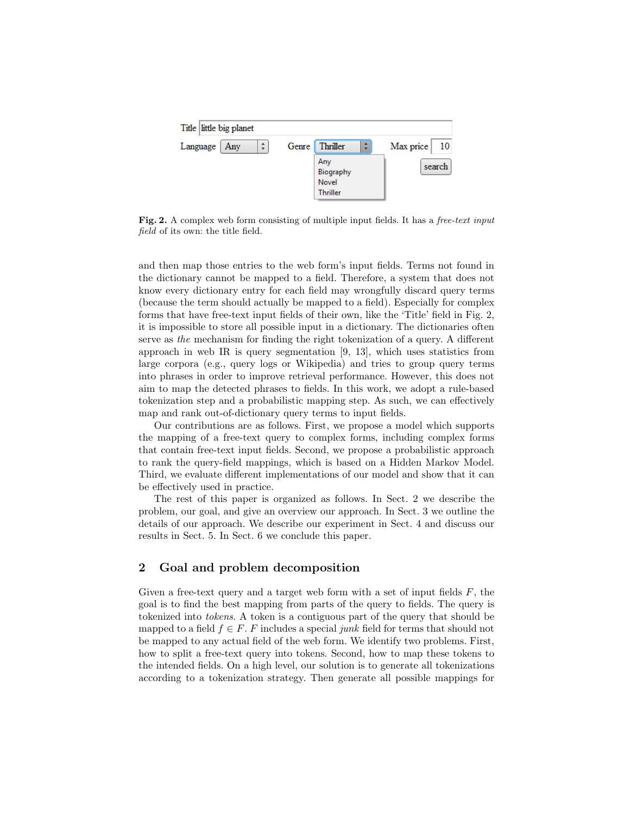

Fig. 2. A complex web form consisting of multiple input fields. It has a free-text input field of its own: the title field.

and then map those entries to the web form's input fields. Terms not found in the dictionary cannot be mapped to a field. Therefore, a system that does not know every dictionary entry for each field may wrongfully discard query terms (because the term should actually be mapped to a field). Especially for complex forms that have free-text input fields of their own, like the 'Title' field in Fig. 2, it is impossible to store all possible input in a dictionary. The dictionaries often serve as the mechanism for finding the right tokenization of a query. A different approach in web IR is query segmentation [9, 13], which uses statistics from large corpora (e.g., query logs or Wikipedia) and tries to group query terms into phrases in order to improve retrieval performance. However, this does not aim to map the detected phrases to fields. In this work, we adopt a rule-based tokenization step and a probabilistic mapping step. As such, we can effectively map and rank out-of-dictionary query terms to input fields.

Our contributions are as follows. First, we propose a model which supports the mapping of a free-text query to complex forms, including complex forms that contain free-text input fields. Second, we propose a probabilistic approach to rank the query-field mappings, which is based on a Hidden Markov Model. Third, we evaluate different implementations of our model and show that it can be effectively used in practice.

The rest of this paper is organized as follows. In Sect. 2 we describe the problem, our goal, and give an overview our approach. In Sect. 3 we outline the details of our approach. We describe our experiment in Sect. 4 and discuss our results in Sect. 5. In Sect. 6 we conclude this paper.

## 2 Goal and problem decomposition

Given a free-text query and a target web form with a set of input fields  $F$ , the goal is to find the best mapping from parts of the query to fields. The query is tokenized into tokens. A token is a contiguous part of the query that should be mapped to a field  $f \in F$ . F includes a special junk field for terms that should not be mapped to any actual field of the web form. We identify two problems. First, how to split a free-text query into tokens. Second, how to map these tokens to the intended fields. On a high level, our solution is to generate all tokenizations according to a tokenization strategy. Then generate all possible mappings for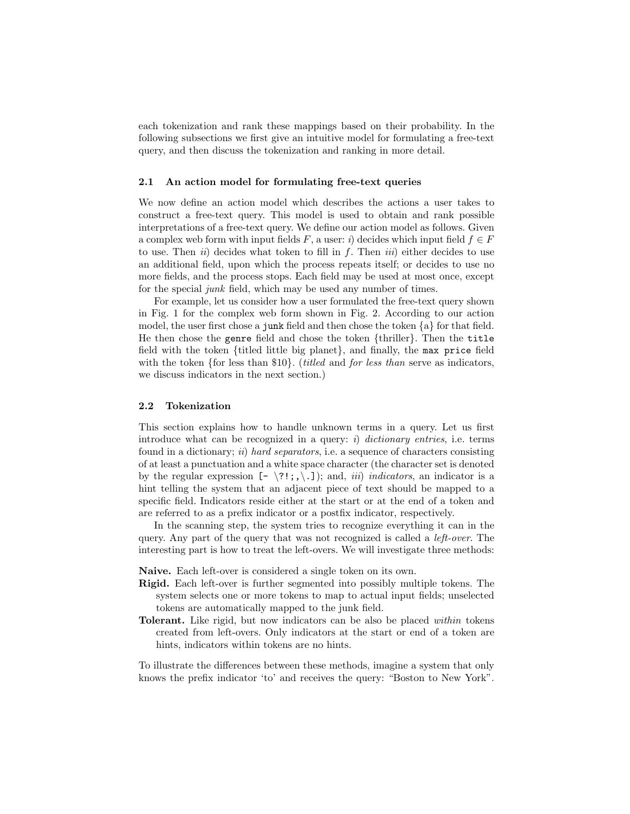each tokenization and rank these mappings based on their probability. In the following subsections we first give an intuitive model for formulating a free-text query, and then discuss the tokenization and ranking in more detail.

#### 2.1 An action model for formulating free-text queries

We now define an action model which describes the actions a user takes to construct a free-text query. This model is used to obtain and rank possible interpretations of a free-text query. We define our action model as follows. Given a complex web form with input fields F, a user: i) decides which input field  $f \in F$ to use. Then  $ii)$  decides what token to fill in f. Then  $iii)$  either decides to use an additional field, upon which the process repeats itself; or decides to use no more fields, and the process stops. Each field may be used at most once, except for the special junk field, which may be used any number of times.

For example, let us consider how a user formulated the free-text query shown in Fig. 1 for the complex web form shown in Fig. 2. According to our action model, the user first chose a junk field and then chose the token {a} for that field. He then chose the genre field and chose the token {thriller}. Then the title field with the token {titled little big planet}, and finally, the max price field with the token  $\{$ for less than  $\$10\}$ . (*titled* and *for less than* serve as indicators, we discuss indicators in the next section.)

### 2.2 Tokenization

This section explains how to handle unknown terms in a query. Let us first introduce what can be recognized in a query: i) dictionary entries, i.e. terms found in a dictionary; ii) hard separators, i.e. a sequence of characters consisting of at least a punctuation and a white space character (the character set is denoted by the regular expression  $[- \ 2!; \ldots, \ldots]$ ; and, *iii*) *indicators*, an indicator is a hint telling the system that an adjacent piece of text should be mapped to a specific field. Indicators reside either at the start or at the end of a token and are referred to as a prefix indicator or a postfix indicator, respectively.

In the scanning step, the system tries to recognize everything it can in the query. Any part of the query that was not recognized is called a left-over. The interesting part is how to treat the left-overs. We will investigate three methods:

Naive. Each left-over is considered a single token on its own.

- Rigid. Each left-over is further segmented into possibly multiple tokens. The system selects one or more tokens to map to actual input fields; unselected tokens are automatically mapped to the junk field.
- Tolerant. Like rigid, but now indicators can be also be placed within tokens created from left-overs. Only indicators at the start or end of a token are hints, indicators within tokens are no hints.

To illustrate the differences between these methods, imagine a system that only knows the prefix indicator 'to' and receives the query: "Boston to New York".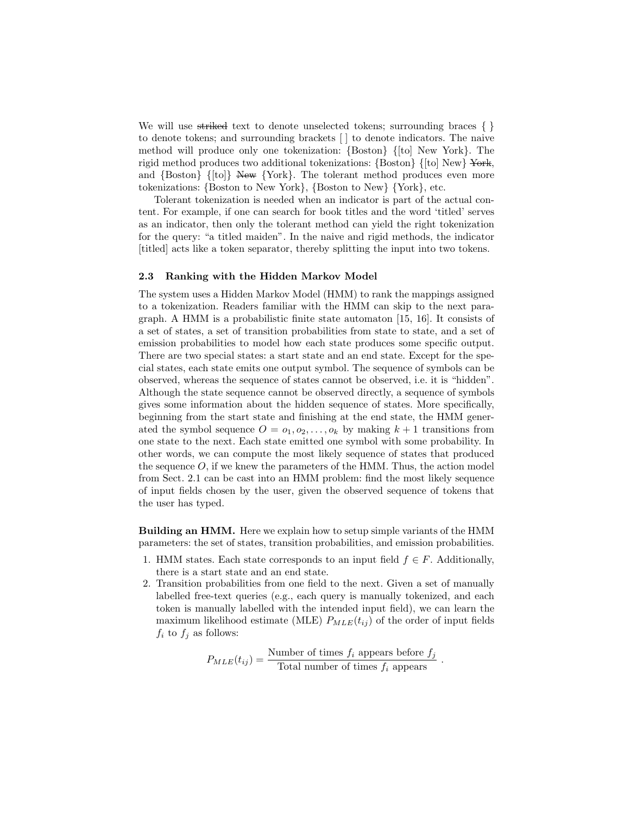We will use striked text to denote unselected tokens; surrounding braces  $\{\}$ to denote tokens; and surrounding brackets [ ] to denote indicators. The naive method will produce only one tokenization: {Boston} {[to] New York}. The rigid method produces two additional tokenizations: {Boston} {[to] New} York, and {Boston} {[to]} New {York}. The tolerant method produces even more tokenizations: {Boston to New York}, {Boston to New} {York}, etc.

Tolerant tokenization is needed when an indicator is part of the actual content. For example, if one can search for book titles and the word 'titled' serves as an indicator, then only the tolerant method can yield the right tokenization for the query: "a titled maiden". In the naive and rigid methods, the indicator [titled] acts like a token separator, thereby splitting the input into two tokens.

#### 2.3 Ranking with the Hidden Markov Model

The system uses a Hidden Markov Model (HMM) to rank the mappings assigned to a tokenization. Readers familiar with the HMM can skip to the next paragraph. A HMM is a probabilistic finite state automaton [15, 16]. It consists of a set of states, a set of transition probabilities from state to state, and a set of emission probabilities to model how each state produces some specific output. There are two special states: a start state and an end state. Except for the special states, each state emits one output symbol. The sequence of symbols can be observed, whereas the sequence of states cannot be observed, i.e. it is "hidden". Although the state sequence cannot be observed directly, a sequence of symbols gives some information about the hidden sequence of states. More specifically, beginning from the start state and finishing at the end state, the HMM generated the symbol sequence  $O = o_1, o_2, \ldots, o_k$  by making  $k + 1$  transitions from one state to the next. Each state emitted one symbol with some probability. In other words, we can compute the most likely sequence of states that produced the sequence  $O$ , if we knew the parameters of the HMM. Thus, the action model from Sect. 2.1 can be cast into an HMM problem: find the most likely sequence of input fields chosen by the user, given the observed sequence of tokens that the user has typed.

Building an HMM. Here we explain how to setup simple variants of the HMM parameters: the set of states, transition probabilities, and emission probabilities.

- 1. HMM states. Each state corresponds to an input field  $f \in F$ . Additionally, there is a start state and an end state.
- 2. Transition probabilities from one field to the next. Given a set of manually labelled free-text queries (e.g., each query is manually tokenized, and each token is manually labelled with the intended input field), we can learn the maximum likelihood estimate (MLE)  $P_{MLE}(t_{ij})$  of the order of input fields  $f_i$  to  $f_j$  as follows:

$$
P_{MLE}(t_{ij}) = \frac{\text{Number of times } f_i \text{ appears before } f_j}{\text{Total number of times } f_i \text{ appears}}
$$

.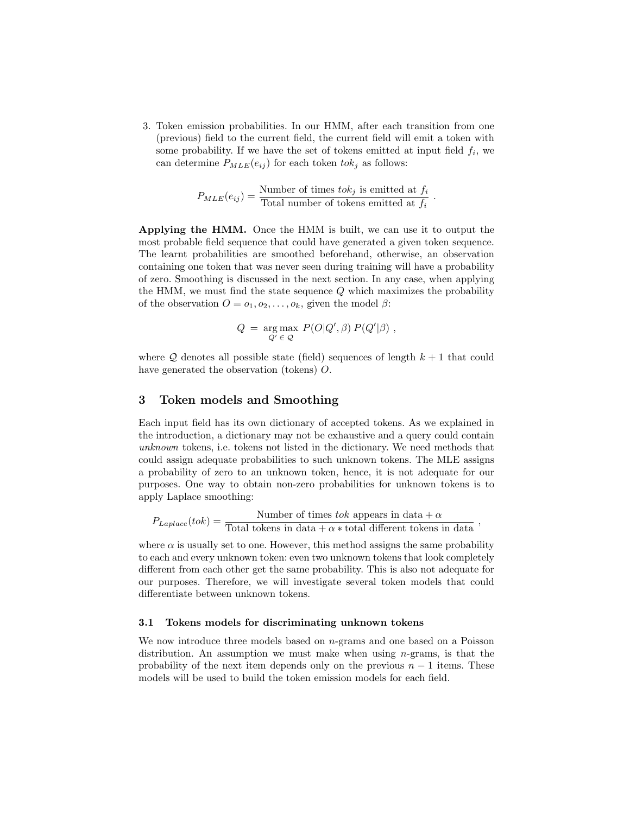3. Token emission probabilities. In our HMM, after each transition from one (previous) field to the current field, the current field will emit a token with some probability. If we have the set of tokens emitted at input field  $f_i$ , we can determine  $P_{MLE}(e_{ij})$  for each token  $tok_j$  as follows:

$$
P_{MLE}(e_{ij}) = \frac{\text{Number of times } tok_j \text{ is emitted at } f_i}{\text{Total number of tokens emitted at } f_i}
$$

.

Applying the HMM. Once the HMM is built, we can use it to output the most probable field sequence that could have generated a given token sequence. The learnt probabilities are smoothed beforehand, otherwise, an observation containing one token that was never seen during training will have a probability of zero. Smoothing is discussed in the next section. In any case, when applying the HMM, we must find the state sequence  $Q$  which maximizes the probability of the observation  $O = o_1, o_2, \ldots, o_k$ , given the model  $\beta$ :

$$
Q = \underset{Q'}{\arg \max} P(O|Q', \beta) P(Q'|\beta) ,
$$

where Q denotes all possible state (field) sequences of length  $k + 1$  that could have generated the observation (tokens) O.

## 3 Token models and Smoothing

Each input field has its own dictionary of accepted tokens. As we explained in the introduction, a dictionary may not be exhaustive and a query could contain unknown tokens, i.e. tokens not listed in the dictionary. We need methods that could assign adequate probabilities to such unknown tokens. The MLE assigns a probability of zero to an unknown token, hence, it is not adequate for our purposes. One way to obtain non-zero probabilities for unknown tokens is to apply Laplace smoothing:

$$
P_{Laplace}(tok) = \frac{\text{Number of times } tok \text{ appears in data} + \alpha}{\text{Total tokens in data} + \alpha * \text{total different tokens in data}},
$$

where  $\alpha$  is usually set to one. However, this method assigns the same probability to each and every unknown token: even two unknown tokens that look completely different from each other get the same probability. This is also not adequate for our purposes. Therefore, we will investigate several token models that could differentiate between unknown tokens.

#### 3.1 Tokens models for discriminating unknown tokens

We now introduce three models based on n-grams and one based on a Poisson distribution. An assumption we must make when using  $n$ -grams, is that the probability of the next item depends only on the previous  $n-1$  items. These models will be used to build the token emission models for each field.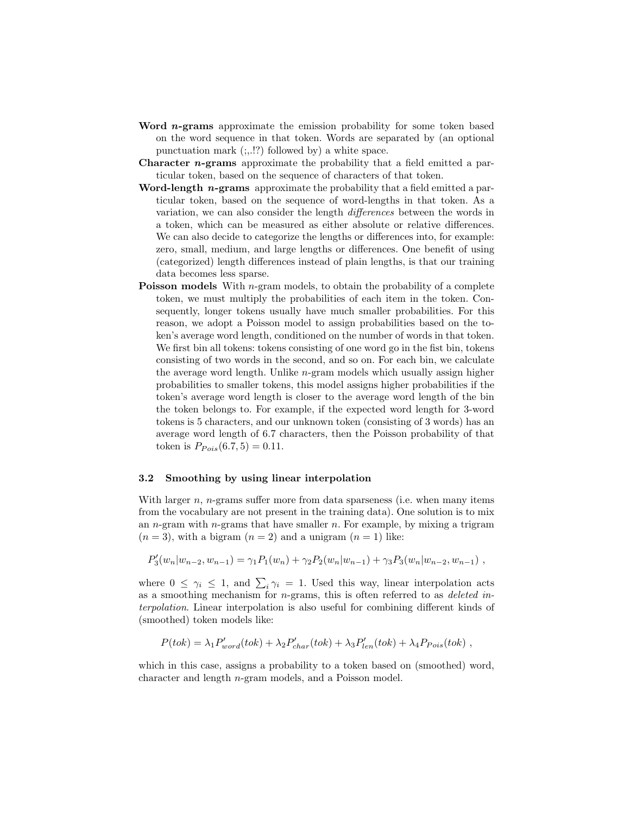- Word *n*-grams approximate the emission probability for some token based on the word sequence in that token. Words are separated by (an optional punctuation mark  $(:,!)$ ? followed by) a white space.
- **Character n-grams** approximate the probability that a field emitted a particular token, based on the sequence of characters of that token.
- Word-length *n*-grams approximate the probability that a field emitted a particular token, based on the sequence of word-lengths in that token. As a variation, we can also consider the length differences between the words in a token, which can be measured as either absolute or relative differences. We can also decide to categorize the lengths or differences into, for example: zero, small, medium, and large lengths or differences. One benefit of using (categorized) length differences instead of plain lengths, is that our training data becomes less sparse.
- **Poisson models** With *n*-gram models, to obtain the probability of a complete token, we must multiply the probabilities of each item in the token. Consequently, longer tokens usually have much smaller probabilities. For this reason, we adopt a Poisson model to assign probabilities based on the token's average word length, conditioned on the number of words in that token. We first bin all tokens: tokens consisting of one word go in the fist bin, tokens consisting of two words in the second, and so on. For each bin, we calculate the average word length. Unlike n-gram models which usually assign higher probabilities to smaller tokens, this model assigns higher probabilities if the token's average word length is closer to the average word length of the bin the token belongs to. For example, if the expected word length for 3-word tokens is 5 characters, and our unknown token (consisting of 3 words) has an average word length of 6.7 characters, then the Poisson probability of that token is  $P_{Pois}(6.7, 5) = 0.11$ .

#### 3.2 Smoothing by using linear interpolation

With larger  $n$ ,  $n$ -grams suffer more from data sparseness (i.e. when many items from the vocabulary are not present in the training data). One solution is to mix an  $n$ -gram with  $n$ -grams that have smaller  $n$ . For example, by mixing a trigram  $(n = 3)$ , with a bigram  $(n = 2)$  and a unigram  $(n = 1)$  like:

$$
P_3'(w_n|w_{n-2}, w_{n-1}) = \gamma_1 P_1(w_n) + \gamma_2 P_2(w_n|w_{n-1}) + \gamma_3 P_3(w_n|w_{n-2}, w_{n-1}),
$$

where  $0 \leq \gamma_i \leq 1$ , and  $\sum_i \gamma_i = 1$ . Used this way, linear interpolation acts as a smoothing mechanism for  $n$ -grams, this is often referred to as *deleted in*terpolation. Linear interpolation is also useful for combining different kinds of (smoothed) token models like:

$$
P(tok) = \lambda_1 P'_{word}(tok) + \lambda_2 P'_{char}(tok) + \lambda_3 P'_{len}(tok) + \lambda_4 P_{Pois}(tok) ,
$$

which in this case, assigns a probability to a token based on (smoothed) word, character and length n-gram models, and a Poisson model.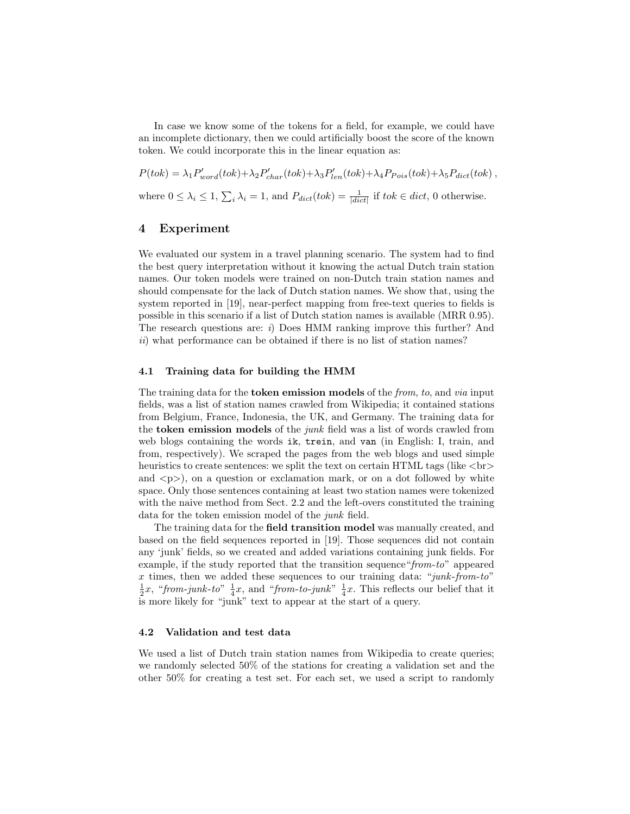In case we know some of the tokens for a field, for example, we could have an incomplete dictionary, then we could artificially boost the score of the known token. We could incorporate this in the linear equation as:

 $P(tok) = \lambda_1 P'_{word}(tok) + \lambda_2 P'_{char}(tok) + \lambda_3 P'_{len}(tok) + \lambda_4 P_{Pois}(tok) + \lambda_5 P_{dict}(tok)$ , where  $0 \leq \lambda_i \leq 1$ ,  $\sum_i \lambda_i = 1$ , and  $P_{dict}(tok) = \frac{1}{|dict|}$  if  $tok \in dict$ , 0 otherwise.

## 4 Experiment

We evaluated our system in a travel planning scenario. The system had to find the best query interpretation without it knowing the actual Dutch train station names. Our token models were trained on non-Dutch train station names and should compensate for the lack of Dutch station names. We show that, using the system reported in [19], near-perfect mapping from free-text queries to fields is possible in this scenario if a list of Dutch station names is available (MRR 0.95). The research questions are: i) Does HMM ranking improve this further? And ii) what performance can be obtained if there is no list of station names?

#### 4.1 Training data for building the HMM

The training data for the **token emission models** of the *from, to, and via input* fields, was a list of station names crawled from Wikipedia; it contained stations from Belgium, France, Indonesia, the UK, and Germany. The training data for the **token emission models** of the *junk* field was a list of words crawled from web blogs containing the words ik, trein, and van (in English: I, train, and from, respectively). We scraped the pages from the web blogs and used simple heuristics to create sentences: we split the text on certain HTML tags (like  $\langle \text{br} \rangle$ and  $\langle p \rangle$ , on a question or exclamation mark, or on a dot followed by white space. Only those sentences containing at least two station names were tokenized with the naive method from Sect. 2.2 and the left-overs constituted the training data for the token emission model of the junk field.

The training data for the field transition model was manually created, and based on the field sequences reported in [19]. Those sequences did not contain any 'junk' fields, so we created and added variations containing junk fields. For example, if the study reported that the transition sequence "from-to" appeared x times, then we added these sequences to our training data: "*junk-from-to*"  $\frac{1}{2}x$ , "from-junk-to"  $\frac{1}{4}x$ , and "from-to-junk"  $\frac{1}{4}x$ . This reflects our belief that it is more likely for "junk" text to appear at the start of a query.

#### 4.2 Validation and test data

We used a list of Dutch train station names from Wikipedia to create queries; we randomly selected 50% of the stations for creating a validation set and the other 50% for creating a test set. For each set, we used a script to randomly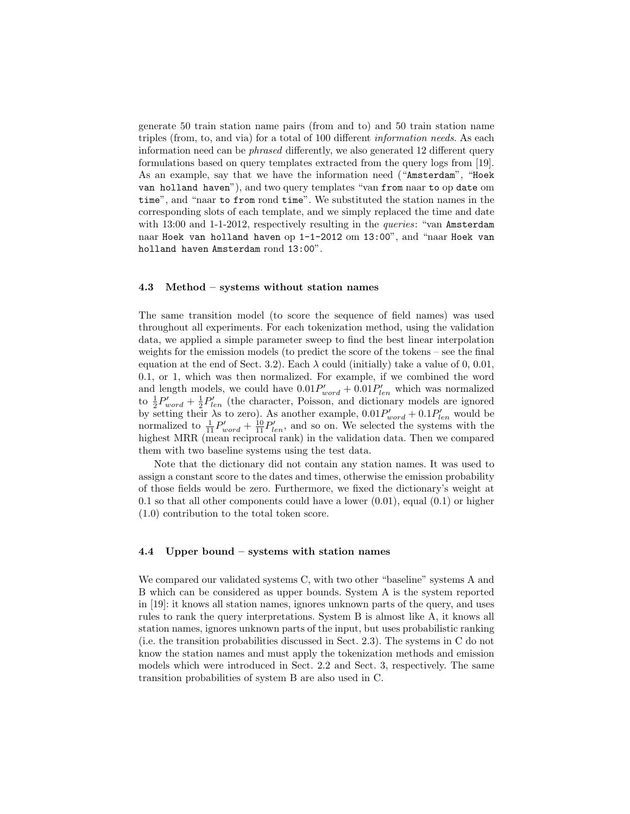generate 50 train station name pairs (from and to) and 50 train station name triples (from, to, and via) for a total of 100 different information needs. As each information need can be phrased differently, we also generated 12 different query formulations based on query templates extracted from the query logs from [19]. As an example, say that we have the information need ("Amsterdam", "Hoek van holland haven"), and two query templates "van from naar to op date om time", and "naar to from rond time". We substituted the station names in the corresponding slots of each template, and we simply replaced the time and date with  $13:00$  and  $1-1-2012$ , respectively resulting in the *queries*: "van **Amsterdam** naar Hoek van holland haven op 1-1-2012 om 13:00", and "naar Hoek van holland haven Amsterdam rond 13:00".

#### 4.3 Method – systems without station names

The same transition model (to score the sequence of field names) was used throughout all experiments. For each tokenization method, using the validation data, we applied a simple parameter sweep to find the best linear interpolation weights for the emission models (to predict the score of the tokens – see the final equation at the end of Sect. 3.2). Each  $\lambda$  could (initially) take a value of 0, 0.01, 0.1, or 1, which was then normalized. For example, if we combined the word and length models, we could have  $0.01P'_{word} + 0.01P'_{len}$  which was normalized to  $\frac{1}{2}P'_{word} + \frac{1}{2}P'_{len}$  (the character, Poisson, and dictionary models are ignored by setting their  $\lambda$ s to zero). As another example,  $0.01P'_{word} + 0.1P'_{len}$  would be normalized to  $\frac{1}{11}P'_{word} + \frac{10}{11}P'_{len}$ , and so on. We selected the systems with the highest MRR (mean reciprocal rank) in the validation data. Then we compared them with two baseline systems using the test data.

Note that the dictionary did not contain any station names. It was used to assign a constant score to the dates and times, otherwise the emission probability of those fields would be zero. Furthermore, we fixed the dictionary's weight at 0.1 so that all other components could have a lower  $(0.01)$ , equal  $(0.1)$  or higher (1.0) contribution to the total token score.

#### 4.4 Upper bound – systems with station names

We compared our validated systems C, with two other "baseline" systems A and B which can be considered as upper bounds. System A is the system reported in [19]: it knows all station names, ignores unknown parts of the query, and uses rules to rank the query interpretations. System B is almost like A, it knows all station names, ignores unknown parts of the input, but uses probabilistic ranking (i.e. the transition probabilities discussed in Sect. 2.3). The systems in C do not know the station names and must apply the tokenization methods and emission models which were introduced in Sect. 2.2 and Sect. 3, respectively. The same transition probabilities of system B are also used in C.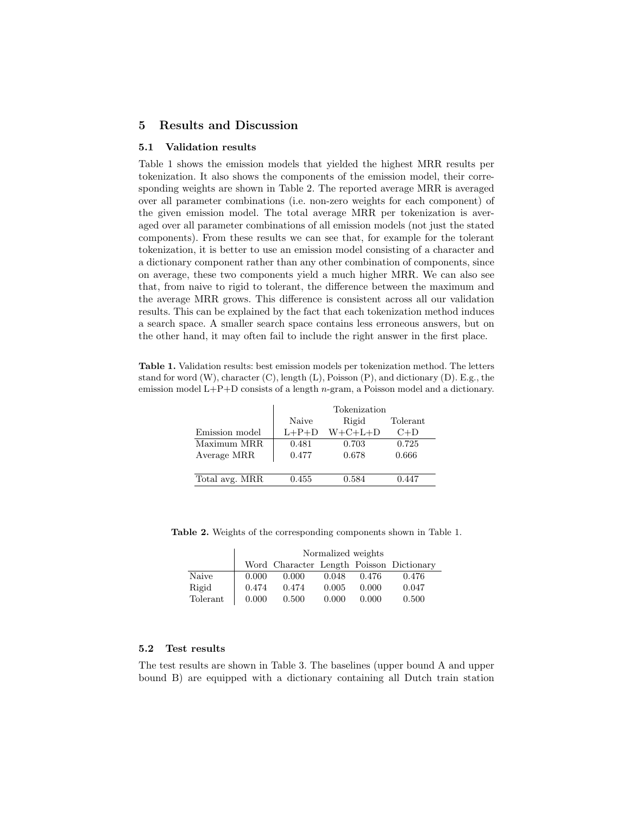## 5 Results and Discussion

#### 5.1 Validation results

Table 1 shows the emission models that yielded the highest MRR results per tokenization. It also shows the components of the emission model, their corresponding weights are shown in Table 2. The reported average MRR is averaged over all parameter combinations (i.e. non-zero weights for each component) of the given emission model. The total average MRR per tokenization is averaged over all parameter combinations of all emission models (not just the stated components). From these results we can see that, for example for the tolerant tokenization, it is better to use an emission model consisting of a character and a dictionary component rather than any other combination of components, since on average, these two components yield a much higher MRR. We can also see that, from naive to rigid to tolerant, the difference between the maximum and the average MRR grows. This difference is consistent across all our validation results. This can be explained by the fact that each tokenization method induces a search space. A smaller search space contains less erroneous answers, but on the other hand, it may often fail to include the right answer in the first place.

Table 1. Validation results: best emission models per tokenization method. The letters stand for word  $(W)$ , character  $(C)$ , length  $(L)$ , Poisson  $(P)$ , and dictionary  $(D)$ . E.g., the emission model  $L+P+D$  consists of a length *n*-gram, a Poisson model and a dictionary.

|                |         | Tokenization    |          |
|----------------|---------|-----------------|----------|
|                | Naive   | Rigid           | Tolerant |
| Emission model | $L+P+D$ | $W + C + L + D$ | $C+D$    |
| Maximum MRR    | 0.481   | 0.703           | 0.725    |
| Average MRR    | 0.477   | 0.678           | 0.666    |
|                |         |                 |          |
| Total avg. MRR | 0.455   | 0.584           | 0.447    |

Table 2. Weights of the corresponding components shown in Table 1.

|          | Normalized weights |       |       |       |                                          |  |
|----------|--------------------|-------|-------|-------|------------------------------------------|--|
|          |                    |       |       |       | Word Character Length Poisson Dictionary |  |
| Naive    | 0.000              | 0.000 | 0.048 | 0.476 | 0.476                                    |  |
| Rigid    | 0.474              | 0.474 | 0.005 | 0.000 | 0.047                                    |  |
| Tolerant | 0.000              | 0.500 | 0.000 | 0.000 | 0.500                                    |  |

#### 5.2 Test results

The test results are shown in Table 3. The baselines (upper bound A and upper bound B) are equipped with a dictionary containing all Dutch train station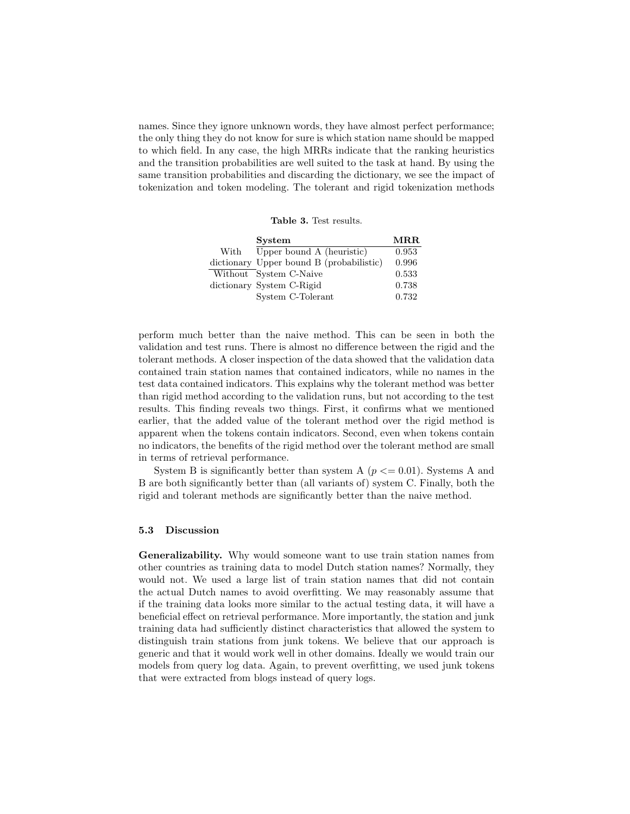names. Since they ignore unknown words, they have almost perfect performance; the only thing they do not know for sure is which station name should be mapped to which field. In any case, the high MRRs indicate that the ranking heuristics and the transition probabilities are well suited to the task at hand. By using the same transition probabilities and discarding the dictionary, we see the impact of tokenization and token modeling. The tolerant and rigid tokenization methods

Table 3. Test results.

|      | <b>System</b>                            | MR.R. |
|------|------------------------------------------|-------|
| With | Upper bound A (heuristic)                | 0.953 |
|      | dictionary Upper bound B (probabilistic) | 0.996 |
|      | Without System C-Naive                   | 0.533 |
|      | dictionary System C-Rigid                | 0.738 |
|      | System C-Tolerant                        | 0.732 |

perform much better than the naive method. This can be seen in both the validation and test runs. There is almost no difference between the rigid and the tolerant methods. A closer inspection of the data showed that the validation data contained train station names that contained indicators, while no names in the test data contained indicators. This explains why the tolerant method was better than rigid method according to the validation runs, but not according to the test results. This finding reveals two things. First, it confirms what we mentioned earlier, that the added value of the tolerant method over the rigid method is apparent when the tokens contain indicators. Second, even when tokens contain no indicators, the benefits of the rigid method over the tolerant method are small in terms of retrieval performance.

System B is significantly better than system A ( $p \le 0.01$ ). Systems A and B are both significantly better than (all variants of) system C. Finally, both the rigid and tolerant methods are significantly better than the naive method.

#### 5.3 Discussion

Generalizability. Why would someone want to use train station names from other countries as training data to model Dutch station names? Normally, they would not. We used a large list of train station names that did not contain the actual Dutch names to avoid overfitting. We may reasonably assume that if the training data looks more similar to the actual testing data, it will have a beneficial effect on retrieval performance. More importantly, the station and junk training data had sufficiently distinct characteristics that allowed the system to distinguish train stations from junk tokens. We believe that our approach is generic and that it would work well in other domains. Ideally we would train our models from query log data. Again, to prevent overfitting, we used junk tokens that were extracted from blogs instead of query logs.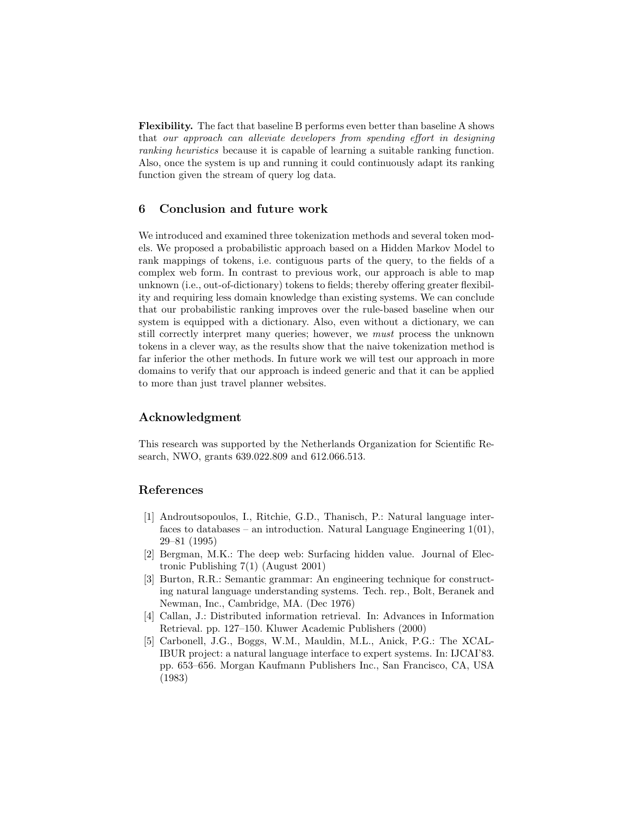Flexibility. The fact that baseline B performs even better than baseline A shows that our approach can alleviate developers from spending effort in designing ranking heuristics because it is capable of learning a suitable ranking function. Also, once the system is up and running it could continuously adapt its ranking function given the stream of query log data.

## 6 Conclusion and future work

We introduced and examined three tokenization methods and several token models. We proposed a probabilistic approach based on a Hidden Markov Model to rank mappings of tokens, i.e. contiguous parts of the query, to the fields of a complex web form. In contrast to previous work, our approach is able to map unknown (i.e., out-of-dictionary) tokens to fields; thereby offering greater flexibility and requiring less domain knowledge than existing systems. We can conclude that our probabilistic ranking improves over the rule-based baseline when our system is equipped with a dictionary. Also, even without a dictionary, we can still correctly interpret many queries; however, we must process the unknown tokens in a clever way, as the results show that the naive tokenization method is far inferior the other methods. In future work we will test our approach in more domains to verify that our approach is indeed generic and that it can be applied to more than just travel planner websites.

## Acknowledgment

This research was supported by the Netherlands Organization for Scientific Research, NWO, grants 639.022.809 and 612.066.513.

## References

- [1] Androutsopoulos, I., Ritchie, G.D., Thanisch, P.: Natural language interfaces to databases – an introduction. Natural Language Engineering  $1(01)$ , 29–81 (1995)
- [2] Bergman, M.K.: The deep web: Surfacing hidden value. Journal of Electronic Publishing 7(1) (August 2001)
- [3] Burton, R.R.: Semantic grammar: An engineering technique for constructing natural language understanding systems. Tech. rep., Bolt, Beranek and Newman, Inc., Cambridge, MA. (Dec 1976)
- [4] Callan, J.: Distributed information retrieval. In: Advances in Information Retrieval. pp. 127–150. Kluwer Academic Publishers (2000)
- [5] Carbonell, J.G., Boggs, W.M., Mauldin, M.L., Anick, P.G.: The XCAL-IBUR project: a natural language interface to expert systems. In: IJCAI'83. pp. 653–656. Morgan Kaufmann Publishers Inc., San Francisco, CA, USA (1983)